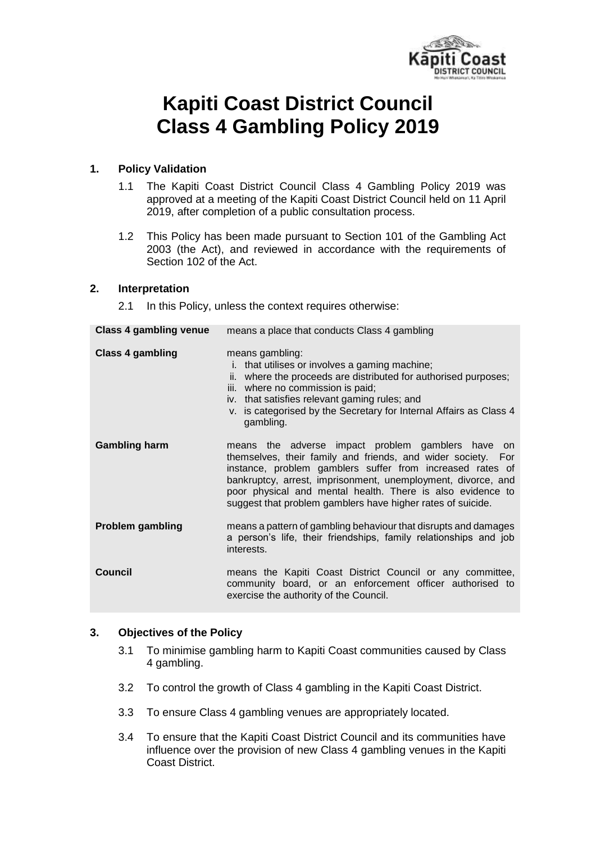

# **Kapiti Coast District Council Class 4 Gambling Policy 2019**

## **1. Policy Validation**

- 1.1 The Kapiti Coast District Council Class 4 Gambling Policy 2019 was approved at a meeting of the Kapiti Coast District Council held on 11 April 2019, after completion of a public consultation process.
- 1.2 This Policy has been made pursuant to Section 101 of the Gambling Act 2003 (the Act), and reviewed in accordance with the requirements of Section 102 of the Act.

#### **2. Interpretation**

2.1 In this Policy, unless the context requires otherwise:

| <b>Class 4 gambling venue</b> | means a place that conducts Class 4 gambling                                                                                                                                                                                                                                                                                                                                |  |  |  |  |
|-------------------------------|-----------------------------------------------------------------------------------------------------------------------------------------------------------------------------------------------------------------------------------------------------------------------------------------------------------------------------------------------------------------------------|--|--|--|--|
| <b>Class 4 gambling</b>       | means gambling:<br>that utilises or involves a gaming machine;<br>İ.<br>ii. where the proceeds are distributed for authorised purposes;<br>iii. where no commission is paid;<br>iv. that satisfies relevant gaming rules; and<br>v. is categorised by the Secretary for Internal Affairs as Class 4<br>gambling.                                                            |  |  |  |  |
| <b>Gambling harm</b>          | means the adverse impact problem gamblers have on<br>themselves, their family and friends, and wider society. For<br>instance, problem gamblers suffer from increased rates of<br>bankruptcy, arrest, imprisonment, unemployment, divorce, and<br>poor physical and mental health. There is also evidence to<br>suggest that problem gamblers have higher rates of suicide. |  |  |  |  |
| <b>Problem gambling</b>       | means a pattern of gambling behaviour that disrupts and damages<br>a person's life, their friendships, family relationships and job<br>interests.                                                                                                                                                                                                                           |  |  |  |  |
| Council                       | means the Kapiti Coast District Council or any committee,<br>community board, or an enforcement officer authorised to<br>exercise the authority of the Council.                                                                                                                                                                                                             |  |  |  |  |

#### **3. Objectives of the Policy**

- 3.1 To minimise gambling harm to Kapiti Coast communities caused by Class 4 gambling.
- 3.2 To control the growth of Class 4 gambling in the Kapiti Coast District.
- 3.3 To ensure Class 4 gambling venues are appropriately located.
- 3.4 To ensure that the Kapiti Coast District Council and its communities have influence over the provision of new Class 4 gambling venues in the Kapiti Coast District.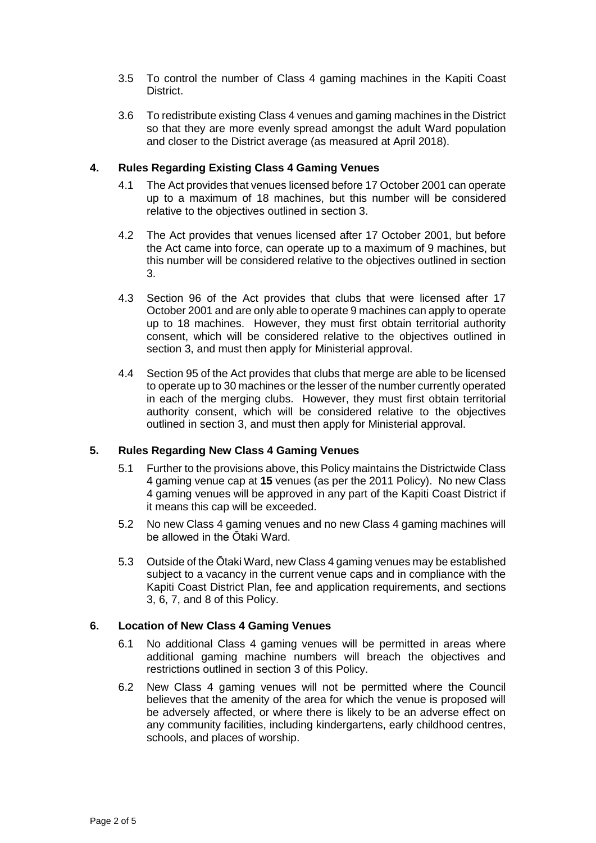- 3.5 To control the number of Class 4 gaming machines in the Kapiti Coast District.
- 3.6 To redistribute existing Class 4 venues and gaming machines in the District so that they are more evenly spread amongst the adult Ward population and closer to the District average (as measured at April 2018).

## **4. Rules Regarding Existing Class 4 Gaming Venues**

- 4.1 The Act provides that venues licensed before 17 October 2001 can operate up to a maximum of 18 machines, but this number will be considered relative to the objectives outlined in section 3.
- 4.2 The Act provides that venues licensed after 17 October 2001, but before the Act came into force, can operate up to a maximum of 9 machines, but this number will be considered relative to the objectives outlined in section 3.
- 4.3 Section 96 of the Act provides that clubs that were licensed after 17 October 2001 and are only able to operate 9 machines can apply to operate up to 18 machines. However, they must first obtain territorial authority consent, which will be considered relative to the objectives outlined in section 3, and must then apply for Ministerial approval.
- 4.4 Section 95 of the Act provides that clubs that merge are able to be licensed to operate up to 30 machines or the lesser of the number currently operated in each of the merging clubs. However, they must first obtain territorial authority consent, which will be considered relative to the objectives outlined in section 3, and must then apply for Ministerial approval.

#### **5. Rules Regarding New Class 4 Gaming Venues**

- 5.1 Further to the provisions above, this Policy maintains the Districtwide Class 4 gaming venue cap at **15** venues (as per the 2011 Policy). No new Class 4 gaming venues will be approved in any part of the Kapiti Coast District if it means this cap will be exceeded.
- 5.2 No new Class 4 gaming venues and no new Class 4 gaming machines will be allowed in the Ōtaki Ward.
- 5.3 Outside of the Ōtaki Ward, new Class 4 gaming venues may be established subject to a vacancy in the current venue caps and in compliance with the Kapiti Coast District Plan, fee and application requirements, and sections 3, 6, 7, and 8 of this Policy.

#### **6. Location of New Class 4 Gaming Venues**

- 6.1 No additional Class 4 gaming venues will be permitted in areas where additional gaming machine numbers will breach the objectives and restrictions outlined in section 3 of this Policy.
- 6.2 New Class 4 gaming venues will not be permitted where the Council believes that the amenity of the area for which the venue is proposed will be adversely affected, or where there is likely to be an adverse effect on any community facilities, including kindergartens, early childhood centres, schools, and places of worship.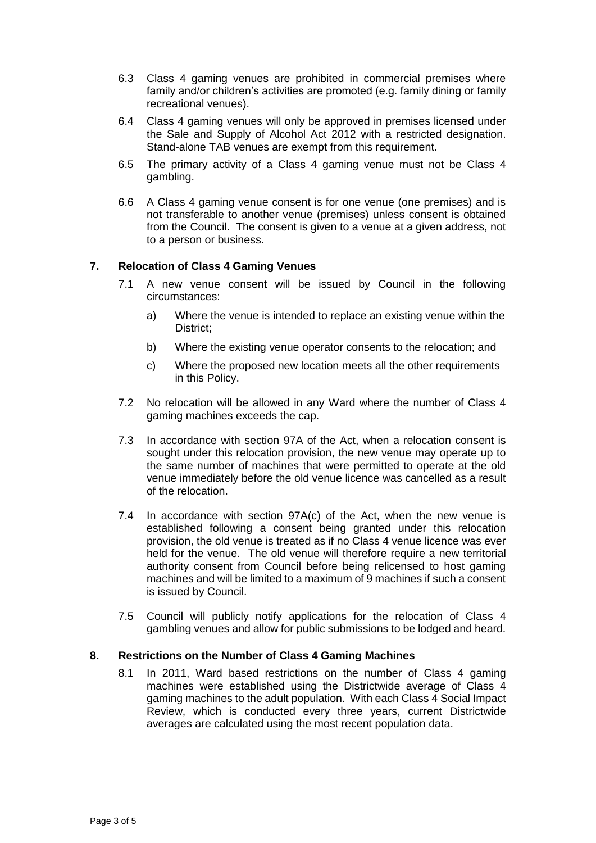- 6.3 Class 4 gaming venues are prohibited in commercial premises where family and/or children's activities are promoted (e.g. family dining or family recreational venues).
- 6.4 Class 4 gaming venues will only be approved in premises licensed under the Sale and Supply of Alcohol Act 2012 with a restricted designation. Stand-alone TAB venues are exempt from this requirement.
- 6.5 The primary activity of a Class 4 gaming venue must not be Class 4 gambling.
- 6.6 A Class 4 gaming venue consent is for one venue (one premises) and is not transferable to another venue (premises) unless consent is obtained from the Council. The consent is given to a venue at a given address, not to a person or business.

#### **7. Relocation of Class 4 Gaming Venues**

- 7.1 A new venue consent will be issued by Council in the following circumstances:
	- a) Where the venue is intended to replace an existing venue within the District;
	- b) Where the existing venue operator consents to the relocation; and
	- c) Where the proposed new location meets all the other requirements in this Policy.
- 7.2 No relocation will be allowed in any Ward where the number of Class 4 gaming machines exceeds the cap.
- 7.3 In accordance with section 97A of the Act, when a relocation consent is sought under this relocation provision, the new venue may operate up to the same number of machines that were permitted to operate at the old venue immediately before the old venue licence was cancelled as a result of the relocation.
- 7.4 In accordance with section 97A(c) of the Act, when the new venue is established following a consent being granted under this relocation provision, the old venue is treated as if no Class 4 venue licence was ever held for the venue. The old venue will therefore require a new territorial authority consent from Council before being relicensed to host gaming machines and will be limited to a maximum of 9 machines if such a consent is issued by Council.
- 7.5 Council will publicly notify applications for the relocation of Class 4 gambling venues and allow for public submissions to be lodged and heard.

#### **8. Restrictions on the Number of Class 4 Gaming Machines**

8.1 In 2011, Ward based restrictions on the number of Class 4 gaming machines were established using the Districtwide average of Class 4 gaming machines to the adult population. With each Class 4 Social Impact Review, which is conducted every three years, current Districtwide averages are calculated using the most recent population data.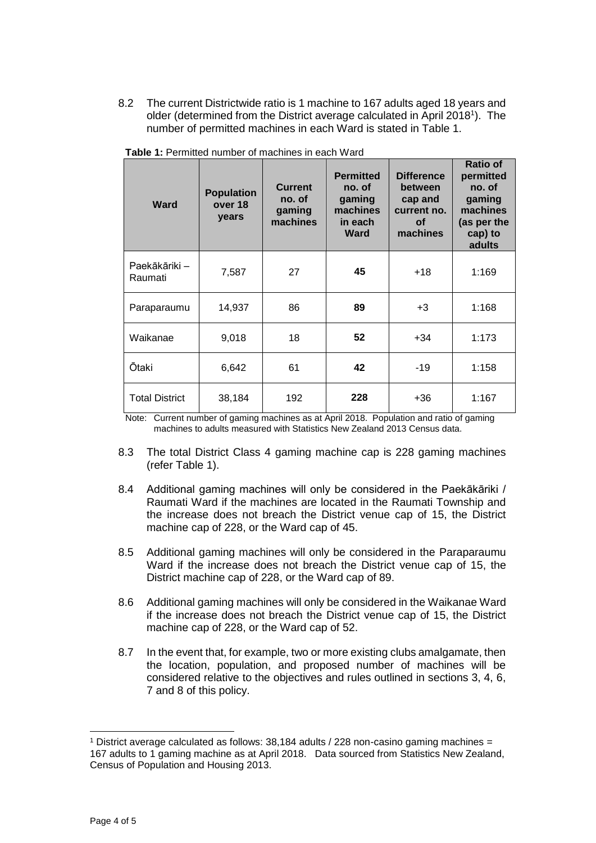8.2 The current Districtwide ratio is 1 machine to 167 adults aged 18 years and older (determined from the District average calculated in April 2018<sup>1</sup>). The number of permitted machines in each Ward is stated in Table 1.

| Ward                     | <b>Population</b><br>over 18<br>years | <b>Current</b><br>no. of<br>gaming<br>machines | <b>Permitted</b><br>no. of<br>gaming<br>machines<br>in each<br><b>Ward</b> | <b>Difference</b><br>between<br>cap and<br>current no.<br>Οf<br>machines | <b>Ratio of</b><br>permitted<br>no. of<br>gaming<br>machines<br>(as per the<br>cap) to<br>adults |
|--------------------------|---------------------------------------|------------------------------------------------|----------------------------------------------------------------------------|--------------------------------------------------------------------------|--------------------------------------------------------------------------------------------------|
| Paekākāriki –<br>Raumati | 7,587                                 | 27                                             | 45                                                                         | $+18$                                                                    | 1:169                                                                                            |
| Paraparaumu              | 14,937                                | 86                                             | 89                                                                         | $+3$                                                                     | 1:168                                                                                            |
| Waikanae                 | 9,018                                 | 18                                             | 52                                                                         | $+34$                                                                    | 1:173                                                                                            |
| Ōtaki                    | 6,642                                 | 61                                             | 42                                                                         | -19                                                                      | 1:158                                                                                            |
| <b>Total District</b>    | 38,184                                | 192                                            | 228                                                                        | $+36$                                                                    | 1:167                                                                                            |

**Table 1:** Permitted number of machines in each Ward

Note: Current number of gaming machines as at April 2018. Population and ratio of gaming machines to adults measured with Statistics New Zealand 2013 Census data.

- 8.3 The total District Class 4 gaming machine cap is 228 gaming machines (refer Table 1).
- 8.4 Additional gaming machines will only be considered in the Paekākāriki / Raumati Ward if the machines are located in the Raumati Township and the increase does not breach the District venue cap of 15, the District machine cap of 228, or the Ward cap of 45.
- 8.5 Additional gaming machines will only be considered in the Paraparaumu Ward if the increase does not breach the District venue cap of 15, the District machine cap of 228, or the Ward cap of 89.
- 8.6 Additional gaming machines will only be considered in the Waikanae Ward if the increase does not breach the District venue cap of 15, the District machine cap of 228, or the Ward cap of 52.
- 8.7 In the event that, for example, two or more existing clubs amalgamate, then the location, population, and proposed number of machines will be considered relative to the objectives and rules outlined in sections 3, 4, 6, 7 and 8 of this policy.

 <sup>1</sup> District average calculated as follows:  $38,184$  adults  $/$  228 non-casino gaming machines = 167 adults to 1 gaming machine as at April 2018. Data sourced from Statistics New Zealand, Census of Population and Housing 2013.